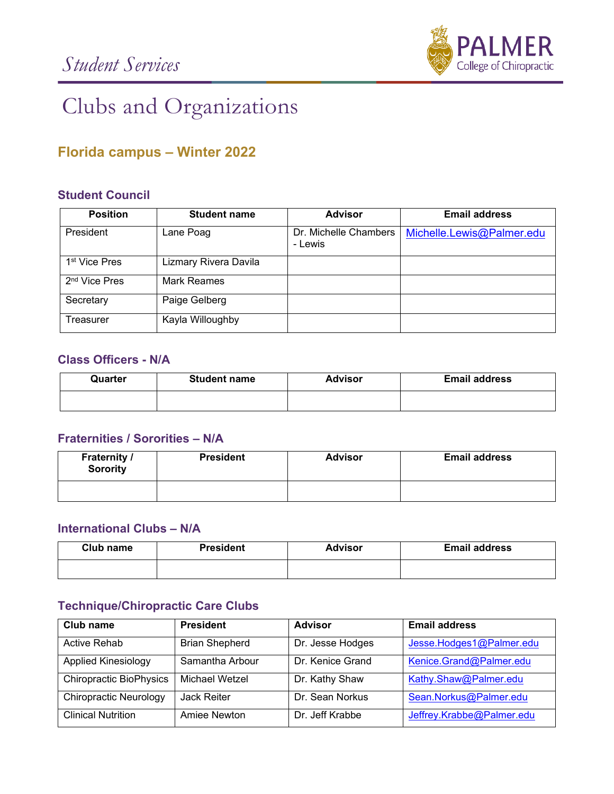

# Clubs and Organizations

# **Florida campus – Winter 2022**

#### **Student Council**

| <b>Position</b>           | <b>Student name</b>   | <b>Advisor</b>                   | <b>Email address</b>      |
|---------------------------|-----------------------|----------------------------------|---------------------------|
| President                 | Lane Poag             | Dr. Michelle Chambers<br>- Lewis | Michelle.Lewis@Palmer.edu |
| 1 <sup>st</sup> Vice Pres | Lizmary Rivera Davila |                                  |                           |
| 2 <sup>nd</sup> Vice Pres | Mark Reames           |                                  |                           |
| Secretary                 | Paige Gelberg         |                                  |                           |
| Treasurer                 | Kayla Willoughby      |                                  |                           |

#### **Class Officers - N/A**

| Quarter | <b>Student name</b> | <b>Advisor</b> | <b>Email address</b> |
|---------|---------------------|----------------|----------------------|
|         |                     |                |                      |

#### **Fraternities / Sororities – N/A**

| <b>Fraternity /</b><br><b>Sorority</b> | <b>President</b> | <b>Advisor</b> | <b>Email address</b> |
|----------------------------------------|------------------|----------------|----------------------|
|                                        |                  |                |                      |

#### **International Clubs – N/A**

| Club name | <b>President</b> | <b>Advisor</b> | <b>Email address</b> |
|-----------|------------------|----------------|----------------------|
|           |                  |                |                      |

#### **Technique/Chiropractic Care Clubs**

| Club name                      | <b>President</b>      | <b>Advisor</b>   | <b>Email address</b>      |
|--------------------------------|-----------------------|------------------|---------------------------|
| <b>Active Rehab</b>            | <b>Brian Shepherd</b> | Dr. Jesse Hodges | Jesse.Hodges1@Palmer.edu  |
| <b>Applied Kinesiology</b>     | Samantha Arbour       | Dr. Kenice Grand | Kenice.Grand@Palmer.edu   |
| <b>Chiropractic BioPhysics</b> | Michael Wetzel        | Dr. Kathy Shaw   | Kathy.Shaw@Palmer.edu     |
| <b>Chiropractic Neurology</b>  | Jack Reiter           | Dr. Sean Norkus  | Sean.Norkus@Palmer.edu    |
| <b>Clinical Nutrition</b>      | Amiee Newton          | Dr. Jeff Krabbe  | Jeffrey.Krabbe@Palmer.edu |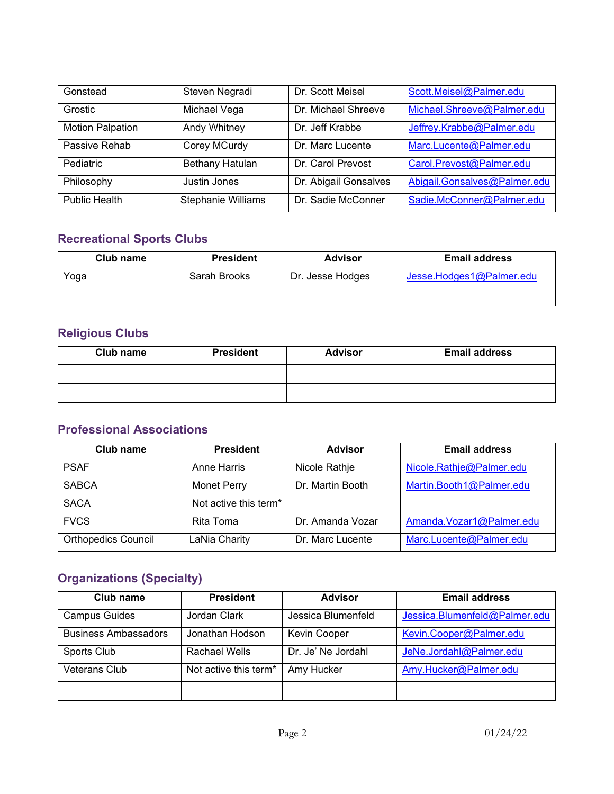| Gonstead                | Steven Negradi            | Dr. Scott Meisel      | Scott.Meisel@Palmer.edu      |
|-------------------------|---------------------------|-----------------------|------------------------------|
| Grostic                 | Michael Vega              | Dr. Michael Shreeve   | Michael.Shreeve@Palmer.edu   |
| <b>Motion Palpation</b> | Andy Whitney              | Dr. Jeff Krabbe       | Jeffrey.Krabbe@Palmer.edu    |
| Passive Rehab           | Corey MCurdy              | Dr. Marc Lucente      | Marc.Lucente@Palmer.edu      |
| Pediatric               | Bethany Hatulan           | Dr. Carol Prevost     | Carol.Prevost@Palmer.edu     |
| Philosophy              | Justin Jones              | Dr. Abigail Gonsalves | Abigail.Gonsalves@Palmer.edu |
| Public Health           | <b>Stephanie Williams</b> | Dr. Sadie McConner    | Sadie.McConner@Palmer.edu    |

## **Recreational Sports Clubs**

| Club name | <b>President</b> | <b>Advisor</b>   | <b>Email address</b>     |
|-----------|------------------|------------------|--------------------------|
| Yoga      | Sarah Brooks     | Dr. Jesse Hodges | Jesse.Hodges1@Palmer.edu |
|           |                  |                  |                          |

# **Religious Clubs**

| Club name | <b>President</b> | <b>Advisor</b> | <b>Email address</b> |
|-----------|------------------|----------------|----------------------|
|           |                  |                |                      |
|           |                  |                |                      |

### **Professional Associations**

| Club name                  | <b>President</b>                  | <b>Advisor</b>   | <b>Email address</b>     |
|----------------------------|-----------------------------------|------------------|--------------------------|
| <b>PSAF</b>                | Anne Harris                       | Nicole Rathje    | Nicole.Rathje@Palmer.edu |
| <b>SABCA</b>               | <b>Monet Perry</b>                | Dr. Martin Booth | Martin.Booth1@Palmer.edu |
| <b>SACA</b>                | Not active this term <sup>*</sup> |                  |                          |
| <b>FVCS</b>                | Rita Toma                         | Dr. Amanda Vozar | Amanda.Vozar1@Palmer.edu |
| <b>Orthopedics Council</b> | LaNia Charity                     | Dr. Marc Lucente | Marc.Lucente@Palmer.edu  |

## **Organizations (Specialty)**

| Club name                   | <b>President</b>                  | <b>Advisor</b>      | <b>Email address</b>          |
|-----------------------------|-----------------------------------|---------------------|-------------------------------|
| <b>Campus Guides</b>        | Jordan Clark                      | Jessica Blumenfeld  | Jessica.Blumenfeld@Palmer.edu |
| <b>Business Ambassadors</b> | Jonathan Hodson                   | <b>Kevin Cooper</b> | Kevin.Cooper@Palmer.edu       |
| Sports Club                 | Rachael Wells                     | Dr. Je' Ne Jordahl  | JeNe.Jordahl@Palmer.edu       |
| <b>Veterans Club</b>        | Not active this term <sup>*</sup> | Amy Hucker          | Amy.Hucker@Palmer.edu         |
|                             |                                   |                     |                               |